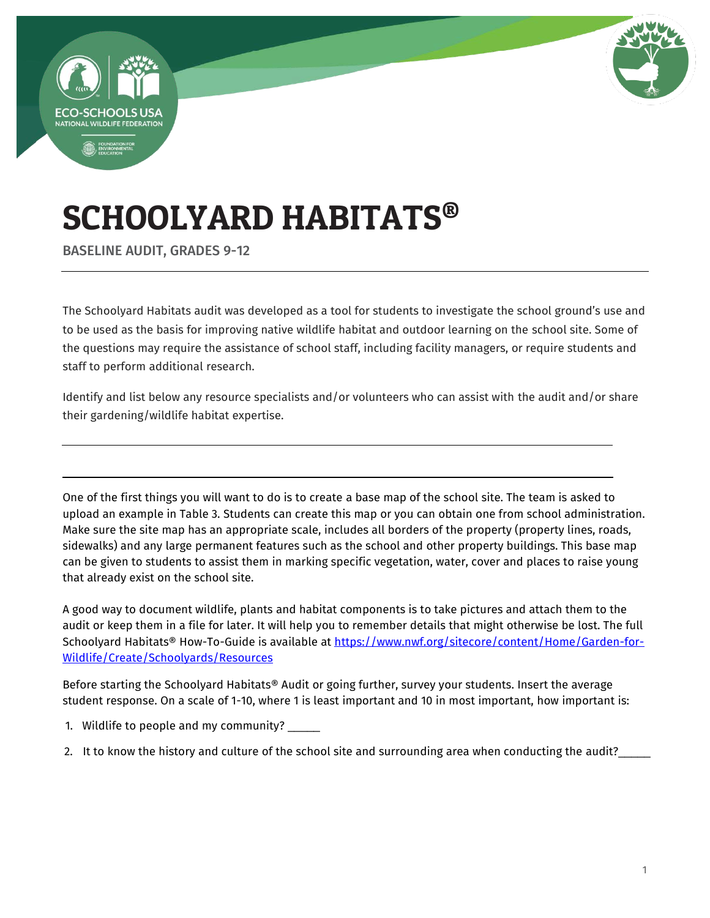



# SCHOOLYARD HABITATS®

BASELINE AUDIT, GRADES 9-12

The Schoolyard Habitats audit was developed as a tool for students to investigate the school ground's use and to be used as the basis for improving native wildlife habitat and outdoor learning on the school site. Some of the questions may require the assistance of school staff, including facility managers, or require students and staff to perform additional research.

Identify and list below any resource specialists and/or volunteers who can assist with the audit and/or share their gardening/wildlife habitat expertise.

One of the first things you will want to do is to create a base map of the school site. The team is asked to upload an example in Table 3. Students can create this map or you can obtain one from school administration. Make sure the site map has an appropriate scale, includes all borders of the property (property lines, roads, sidewalks) and any large permanent features such as the school and other property buildings. This base map can be given to students to assist them in marking specific vegetation, water, cover and places to raise young that already exist on the school site.

A good way to document wildlife, plants and habitat components is to take pictures and attach them to the audit or keep them in a file for later. It will help you to remember details that might otherwise be lost. The full Schoolyard Habitats® How-To-Guide is available at [https://www.nwf.org/sitecore/content/Home/Garden-for-](https://www.nwf.org/sitecore/content/Home/Garden-for-Wildlife/Create/Schoolyards/Resources)[Wildlife/Create/Schoolyards/Resources](https://www.nwf.org/sitecore/content/Home/Garden-for-Wildlife/Create/Schoolyards/Resources) 

Before starting the Schoolyard Habitats® Audit or going further, survey your students. Insert the average student response. On a scale of 1-10, wh[ere 1 is least important and 10 in most important, how important is:](https://www.nwf.org/Eco-Schools-USA/Become-an-Eco-School/Pathways/WOW/Watersheds/Audit) 

1. [Wildlife to people and my community?](https://www.nwf.org/Eco-Schools-USA/Become-an-Eco-School/Pathways/WOW/Watersheds/Audit) \_

2. It to know the history and culture of the school site and surrounding area when conducting the audit?\_\_\_\_\_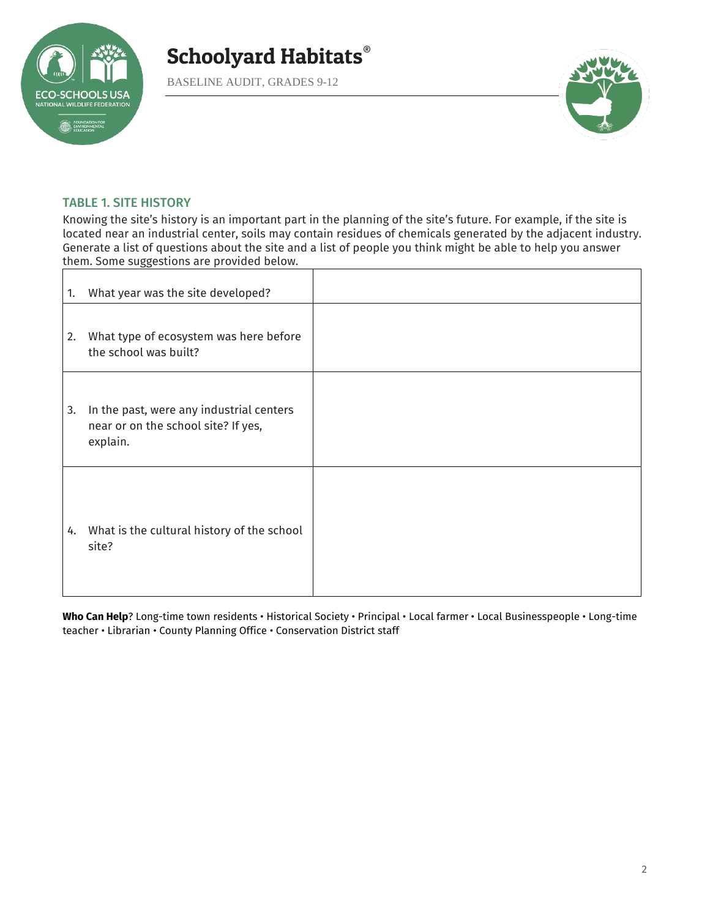

BASELINE AUDIT, GRADES 9-12



#### TABLE 1. SITE HISTORY

Knowing the site's history is an important part in the planning of the site's future. For example, if the site is located near an industrial center, soils may contain residues of chemicals generated by the adjacent industry. Generate a list of questions about the site and a list of people you think might be able to help you answer them. Some suggestions are provided below.

| 1. | What year was the site developed?                                                           |  |
|----|---------------------------------------------------------------------------------------------|--|
| 2. | What type of ecosystem was here before<br>the school was built?                             |  |
| 3. | In the past, were any industrial centers<br>near or on the school site? If yes,<br>explain. |  |
|    | 4. What is the cultural history of the school<br>site?                                      |  |

**Who Can Help**? Long-time town residents • Historical Society • Principal • Local farmer • Local Businesspeople • Long-time teacher • Librarian • County Planning Office • Conservation District staff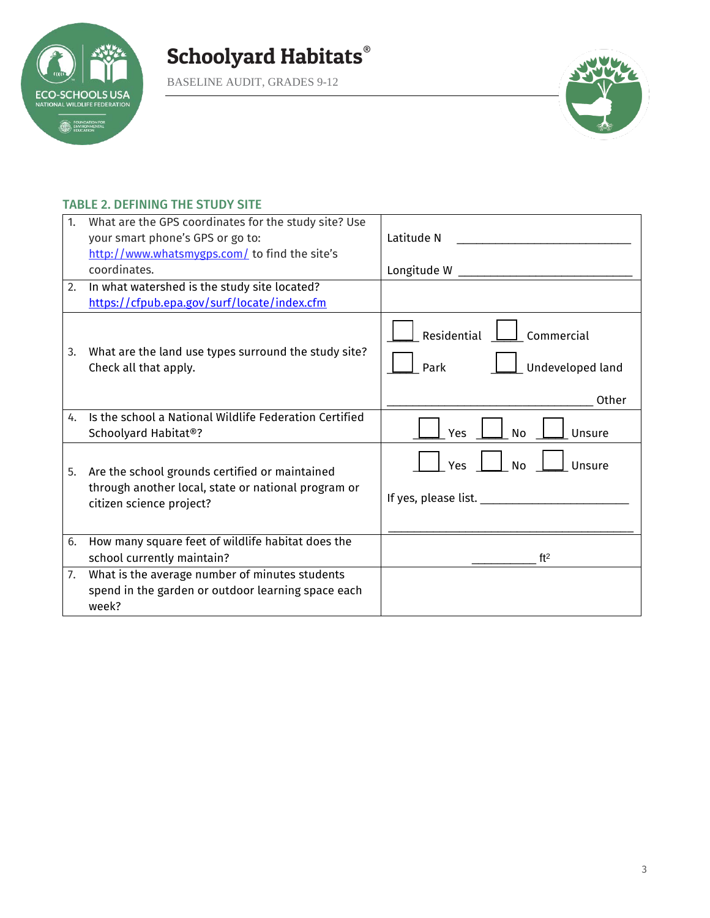**ECO-SCHOOLS USA**<br>NATIONAL WILDLIFE FEDERATION **EDUNDATION FOR** 





#### TABLE 2. DEFINING THE STUDY SITE

| 1. | What are the GPS coordinates for the study site? Use<br>your smart phone's GPS or go to:<br>http://www.whatsmygps.com/ to find the site's<br>coordinates. | Latitude N<br>Longitude W $\_$                                 |
|----|-----------------------------------------------------------------------------------------------------------------------------------------------------------|----------------------------------------------------------------|
| 2. | In what watershed is the study site located?                                                                                                              |                                                                |
|    | https://cfpub.epa.gov/surf/locate/index.cfm                                                                                                               |                                                                |
| 3. | What are the land use types surround the study site?<br>Check all that apply.                                                                             | Residential<br>Commercial<br>Undeveloped land<br>Park          |
|    |                                                                                                                                                           | Other                                                          |
| 4. | Is the school a National Wildlife Federation Certified<br>Schoolyard Habitat®?                                                                            | Yes<br><b>No</b><br>Unsure                                     |
| 5. | Are the school grounds certified or maintained<br>through another local, state or national program or<br>citizen science project?                         | Yes<br><b>No</b><br>Unsure<br>If yes, please list. ___________ |
| 6. | How many square feet of wildlife habitat does the<br>school currently maintain?                                                                           | ft <sup>2</sup>                                                |
| 7. | What is the average number of minutes students<br>spend in the garden or outdoor learning space each<br>week?                                             |                                                                |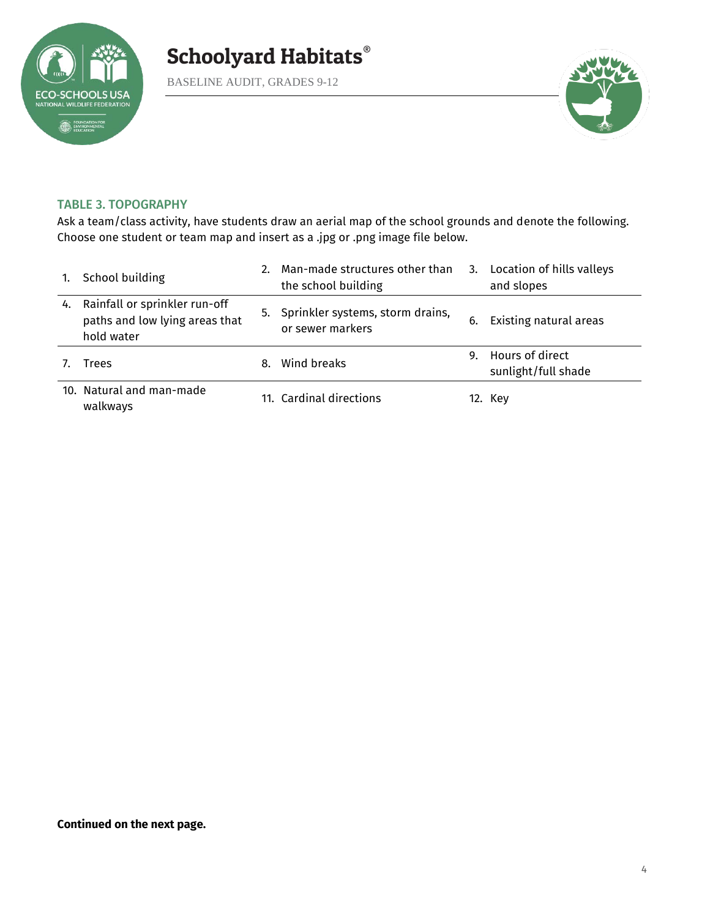

BASELINE AUDIT, GRADES 9-12



#### TABLE 3. TOPOGRAPHY

Ask a team/class activity, have students draw an aerial map of the school grounds and denote the following. Choose one student or team map and insert as a .jpg or .png image file below.

| 1. | School building                                                               |    | Man-made structures other than<br>the school building   |    | 3. Location of hills valleys<br>and slopes |
|----|-------------------------------------------------------------------------------|----|---------------------------------------------------------|----|--------------------------------------------|
| 4. | Rainfall or sprinkler run-off<br>paths and low lying areas that<br>hold water |    | 5. Sprinkler systems, storm drains,<br>or sewer markers | 6. | Existing natural areas                     |
|    | Trees                                                                         | 8. | Wind breaks                                             |    | 9. Hours of direct<br>sunlight/full shade  |
|    | 10. Natural and man-made<br>walkways                                          |    | 11. Cardinal directions                                 |    | 12. Key                                    |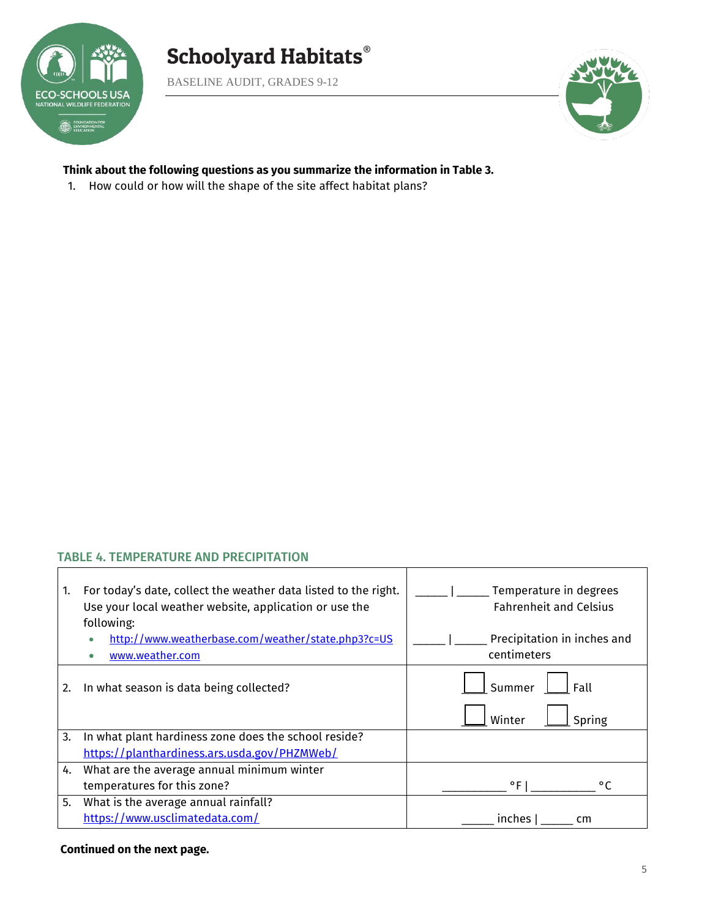

Г

## Schoolyard Habitats®

BASELINE AUDIT, GRADES 9-12



#### **Think about the following questions as you summarize the information in Table 3.**

1. How could or how will the shape of the site affect habitat plans?

#### TABLE 4. TEMPERATURE AND PRECIPITATION

| 1. | For today's date, collect the weather data listed to the right.<br>Use your local weather website, application or use the<br>following:<br>http://www.weatherbase.com/weather/state.php3?c=US<br>www.weather.com | Temperature in degrees<br><b>Fahrenheit and Celsius</b><br>Precipitation in inches and<br>centimeters |
|----|------------------------------------------------------------------------------------------------------------------------------------------------------------------------------------------------------------------|-------------------------------------------------------------------------------------------------------|
| 2. | In what season is data being collected?                                                                                                                                                                          | Summer<br>Fall<br>Spring<br>Winter                                                                    |
| 3. | In what plant hardiness zone does the school reside?                                                                                                                                                             |                                                                                                       |
|    | https://planthardiness.ars.usda.gov/PHZMWeb/                                                                                                                                                                     |                                                                                                       |
| 4. | What are the average annual minimum winter                                                                                                                                                                       |                                                                                                       |
|    | temperatures for this zone?                                                                                                                                                                                      | $^{\circ}$ FI<br>$^{\circ}$ C                                                                         |
| 5. | What is the average annual rainfall?                                                                                                                                                                             |                                                                                                       |
|    | https://www.usclimatedata.com/                                                                                                                                                                                   | inches<br>cm                                                                                          |

T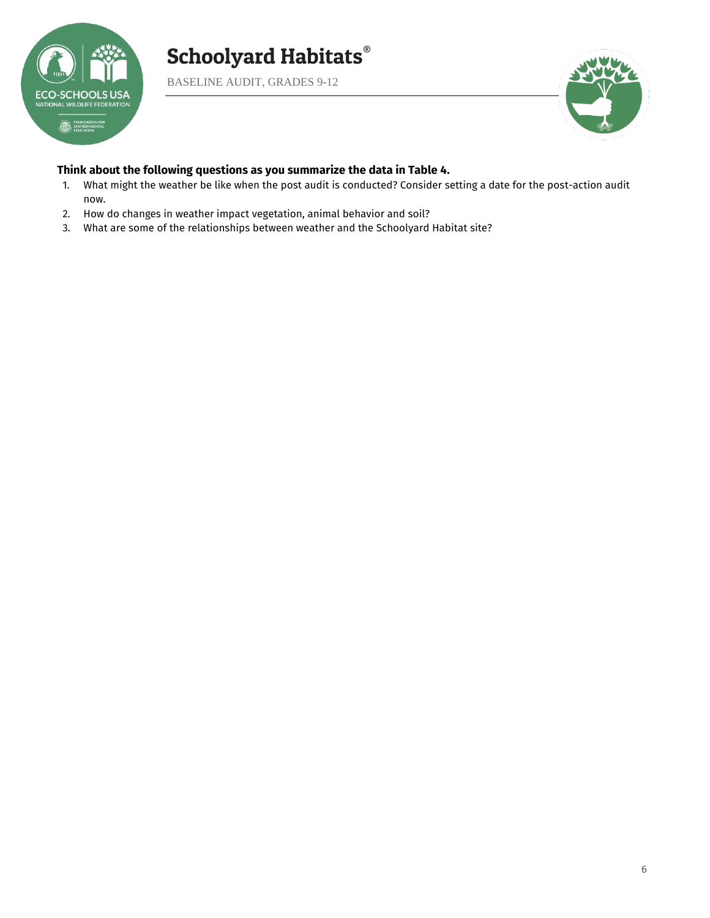

BASELINE AUDIT, GRADES 9-12



#### **Think about the following questions as you summarize the data in Table 4.**

- 1. What might the weather be like when the post audit is conducted? Consider setting a date for the post-action audit now.
- 2. How do changes in weather impact vegetation, animal behavior and soil?
- 3. What are some of the relationships between weather and the Schoolyard Habitat site?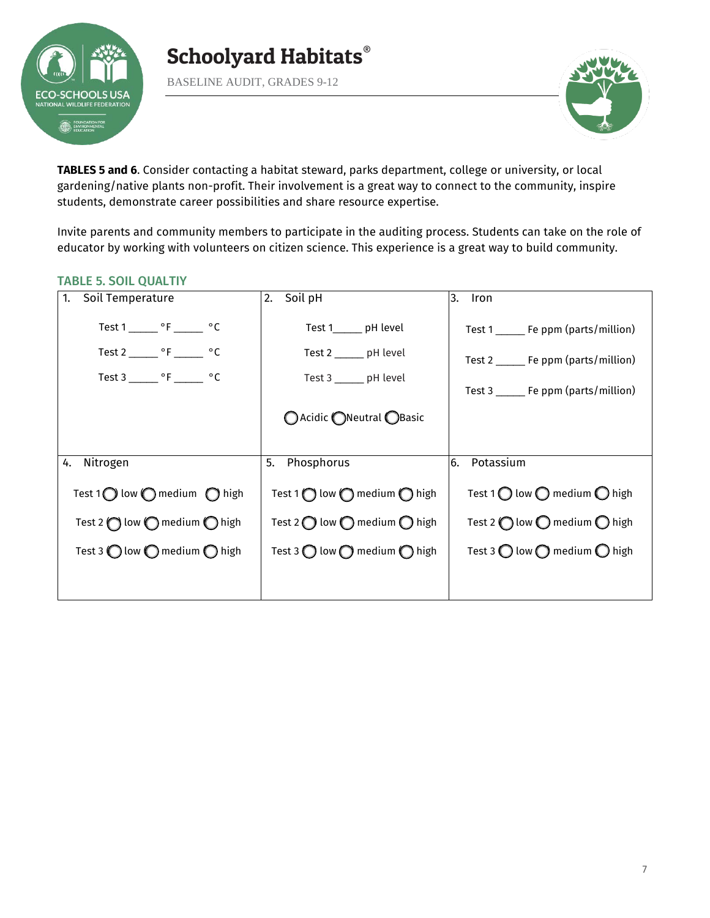

BASELINE AUDIT, GRADES 9-12



**TABLES 5 and 6**. Consider contacting a habitat steward, parks department, college or university, or local gardening/native plants non-profit. Their involvement is a great way to connect to the community, inspire students, demonstrate career possibilities and share resource expertise.

Invite parents and community members to participate in the auditing process. Students can take on the role of educator by working with volunteers on citizen science. This experience is a great way to build community.

#### TABLE 5. SOIL QUALTIY

| Soil Temperature                                                                                                                      | Soil pH                                                                                            | 3.                                                                                                                    |
|---------------------------------------------------------------------------------------------------------------------------------------|----------------------------------------------------------------------------------------------------|-----------------------------------------------------------------------------------------------------------------------|
| 1.                                                                                                                                    | 2.                                                                                                 | Iron                                                                                                                  |
| Test 1 _______ $\circ$ F _______ $\circ$ C<br>Test 2 _______ $\circ$ F ______ $\circ$ C<br>Test 3 _______ $\circ$ F _______ $\circ$ C | Test 1 pH level<br>Test 2 _______ pH level<br>Test 3 ______ pH level<br>○ Acidic ● Neutral ● Basic | Test 1 _______ Fe ppm (parts/million)<br>Test 2 ______ Fe ppm (parts/million)<br>Test 3 ______ Fe ppm (parts/million) |
| Nitrogen                                                                                                                              | Phosphorus                                                                                         | Potassium                                                                                                             |
| 4.                                                                                                                                    | 5.                                                                                                 | 6.                                                                                                                    |
| Test 1 $\bigcirc$ low $\bigcirc$ medium $\bigcirc$ high                                                                               | Test 1 $\bigcirc$ low $\bigcirc$ medium $\bigcirc$ high                                            | Test 1 $\bigcirc$ low $\bigcirc$ medium $\bigcirc$ high                                                               |
| Test 2 $\bigcap$ low $\bigcap$ medium $\bigcap$ high                                                                                  | Test 2 $\bigcirc$ low $\bigcirc$ medium $\bigcirc$ high                                            | Test 2 $\bigcirc$ low $\bigcirc$ medium $\bigcirc$ high                                                               |
| Test 3 $\bigcirc$ low $\bigcirc$ medium $\bigcirc$ high                                                                               | Test 3 $\bigcirc$ low $\bigcirc$ medium $\bigcirc$ high                                            | Test 3 $\bigcirc$ low $\bigcirc$ medium $\bigcirc$ high                                                               |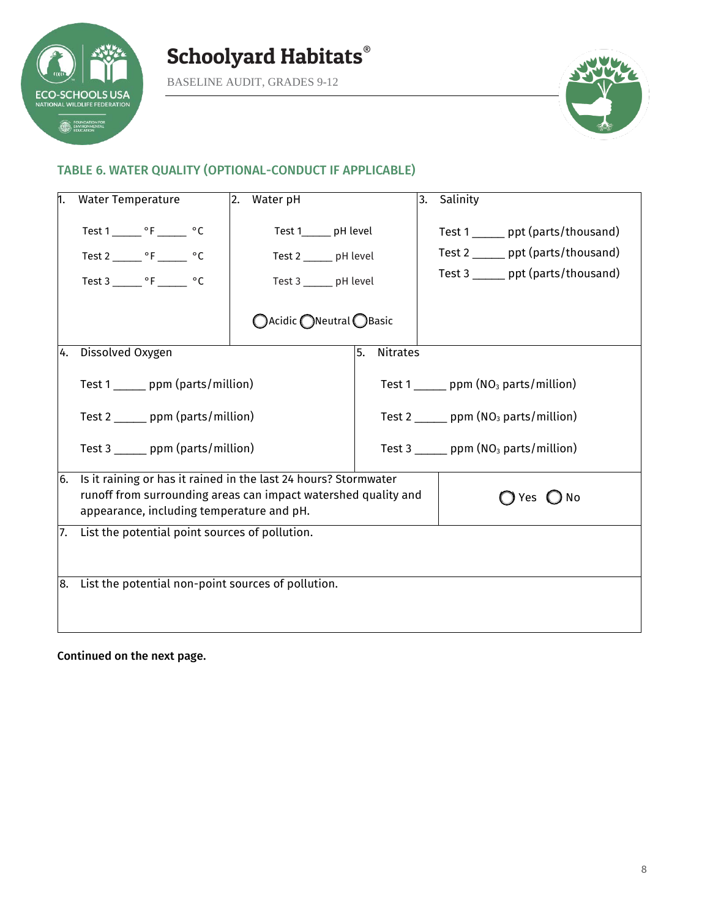

BASELINE AUDIT, GRADES 9-12



#### TABLE 6. WATER QUALITY (OPTIONAL-CONDUCT IF APPLICABLE)

| n.  | <b>Water Temperature</b>                                                                                                                                                       | Water pH<br>2.          |                                         | 3.                          | Salinity                                                 |
|-----|--------------------------------------------------------------------------------------------------------------------------------------------------------------------------------|-------------------------|-----------------------------------------|-----------------------------|----------------------------------------------------------|
|     | Test 1 _______ °F ______ °C                                                                                                                                                    | Test 1______ pH level   |                                         |                             | Test 1 ______ ppt (parts/thousand)                       |
|     | Test 2 ________ $\circ$ F _______ $\circ$ C                                                                                                                                    | Test 2 ______ pH level  |                                         |                             | Test 2 ______ ppt (parts/thousand)                       |
|     |                                                                                                                                                                                | Test 3 ______ pH level  |                                         |                             | Test 3 ______ ppt (parts/thousand)                       |
|     |                                                                                                                                                                                | ○Acidic ●Neutral ●Basic |                                         |                             |                                                          |
| 14. | Dissolved Oxygen                                                                                                                                                               |                         | <b>Nitrates</b><br>5.                   |                             |                                                          |
|     | Test 1 _______ ppm (parts/million)                                                                                                                                             |                         | Test 1 ______ ppm $(NO3$ parts/million) |                             |                                                          |
|     | Test $2 \_\_\_$ ppm (parts/million)                                                                                                                                            |                         | Test 2 ______ ppm $(NO3$ parts/million) |                             |                                                          |
|     | Test $3 \_\_\_\_$ ppm (parts/million)                                                                                                                                          |                         |                                         |                             | Test 3 $\frac{1}{2}$ ppm (NO <sub>3</sub> parts/million) |
| 6.  | Is it raining or has it rained in the last 24 hours? Stormwater<br>runoff from surrounding areas can impact watershed quality and<br>appearance, including temperature and pH. |                         |                                         | $\bigcap$ Yes $\bigcirc$ No |                                                          |
| 17. | List the potential point sources of pollution.                                                                                                                                 |                         |                                         |                             |                                                          |
|     | 8. List the potential non-point sources of pollution.                                                                                                                          |                         |                                         |                             |                                                          |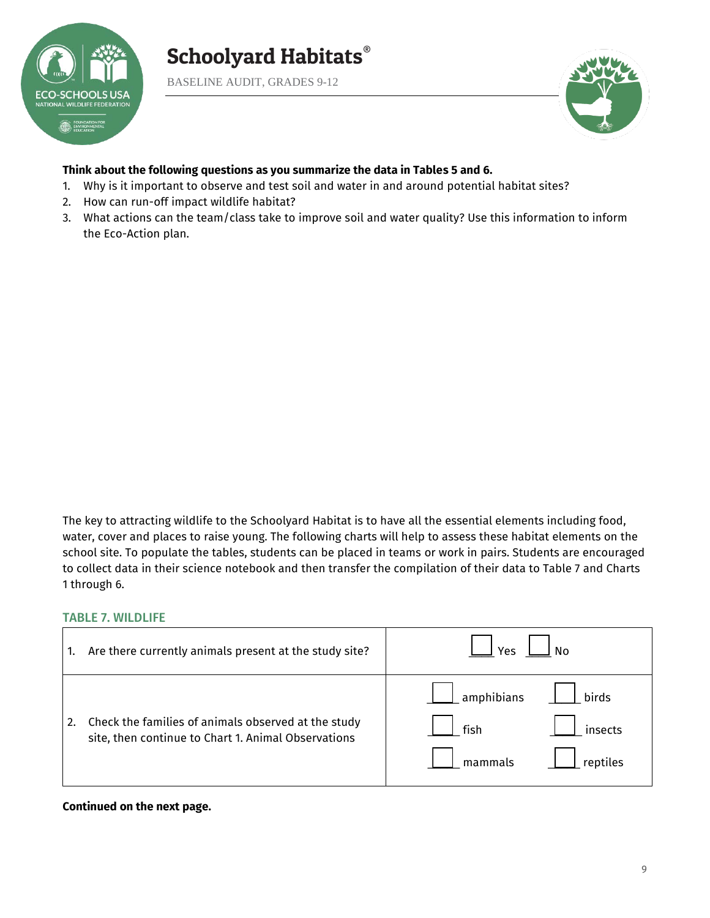

BASELINE AUDIT, GRADES 9-12



#### **Think about the following questions as you summarize the data in Tables 5 and 6.**

- 1. Why is it important to observe and test soil and water in and around potential habitat sites?
- 2. How can run-off impact wildlife habitat?
- 3. What actions can the team/class take to improve soil and water quality? Use this information to inform the Eco-Action plan.

The key to attracting wildlife to the Schoolyard Habitat is to have all the essential elements including food, water, cover and places to raise young. The following charts will help to assess these habitat elements on the school site. To populate the tables, students can be placed in teams or work in pairs. Students are encouraged to collect data in their science notebook and then transfer the compilation of their data to Table 7 and Charts 1 through 6.

#### TABLE 7. WILDLIFE

| Are there currently animals present at the study site?                                                     | Yes                                                                                    |
|------------------------------------------------------------------------------------------------------------|----------------------------------------------------------------------------------------|
| Check the families of animals observed at the study<br>site, then continue to Chart 1. Animal Observations | $\overline{\phantom{a}}$ amphibians<br>birds<br>fish<br>insects<br>mammals<br>reptiles |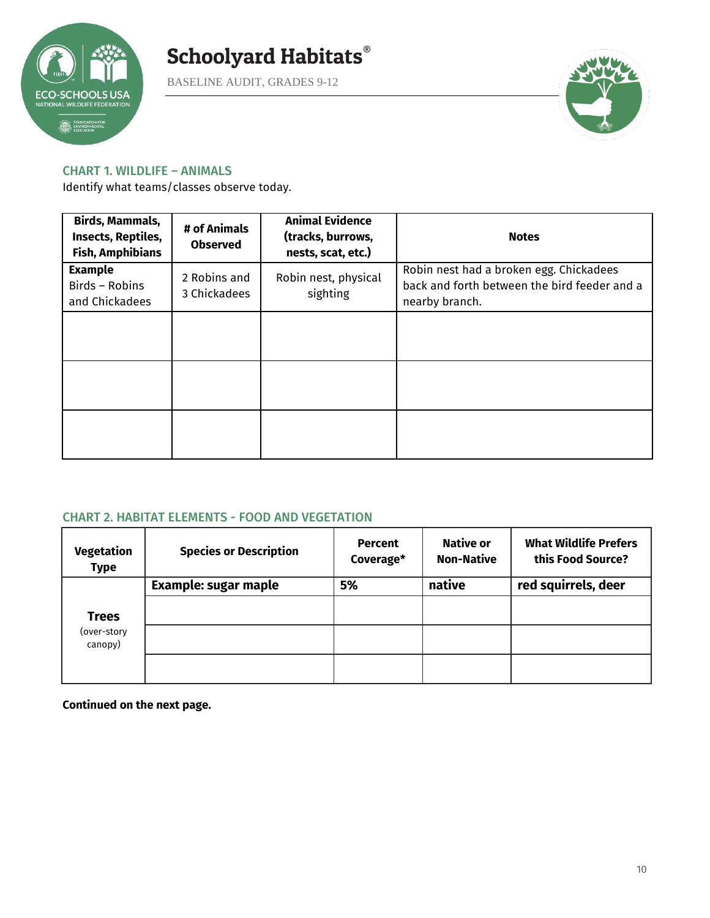

BASELINE AUDIT, GRADES 9-12



#### CHART 1. WILDLIFE – ANIMALS

Identify what teams/classes observe today.

| <b>Birds, Mammals,</b><br>Insects, Reptiles,<br><b>Fish, Amphibians</b> | # of Animals<br><b>Observed</b> | <b>Animal Evidence</b><br>(tracks, burrows,<br>nests, scat, etc.) | <b>Notes</b>                                                                                              |
|-------------------------------------------------------------------------|---------------------------------|-------------------------------------------------------------------|-----------------------------------------------------------------------------------------------------------|
| <b>Example</b><br>Birds - Robins<br>and Chickadees                      | 2 Robins and<br>3 Chickadees    | Robin nest, physical<br>sighting                                  | Robin nest had a broken egg. Chickadees<br>back and forth between the bird feeder and a<br>nearby branch. |
|                                                                         |                                 |                                                                   |                                                                                                           |
|                                                                         |                                 |                                                                   |                                                                                                           |
|                                                                         |                                 |                                                                   |                                                                                                           |

#### CHART 2. HABITAT ELEMENTS - FOOD AND VEGETATION

| Vegetation<br><b>Type</b> | <b>Species or Description</b> | <b>Percent</b><br>Coverage* | <b>Native or</b><br><b>Non-Native</b> | <b>What Wildlife Prefers</b><br>this Food Source? |
|---------------------------|-------------------------------|-----------------------------|---------------------------------------|---------------------------------------------------|
|                           | <b>Example: sugar maple</b>   | 5%                          | native                                | red squirrels, deer                               |
| <b>Trees</b>              |                               |                             |                                       |                                                   |
| (over-story<br>canopy)    |                               |                             |                                       |                                                   |
|                           |                               |                             |                                       |                                                   |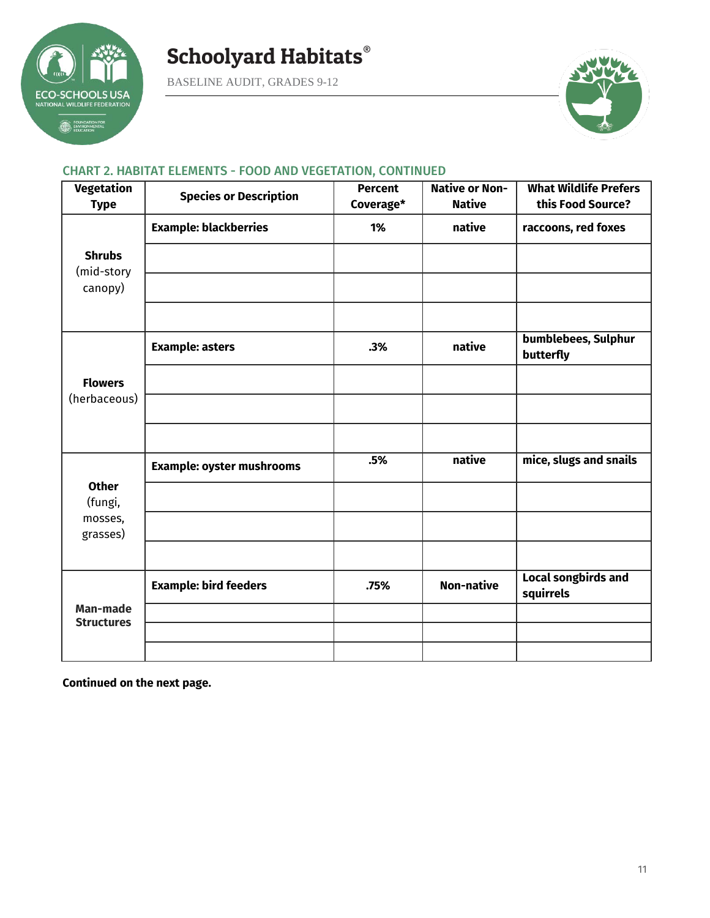

BASELINE AUDIT, GRADES 9-12



#### CHART 2. HABITAT ELEMENTS - FOOD AND VEGETATION, CONTINUED

| <b>Vegetation</b><br><b>Type</b>     | <b>Species or Description</b>    | <b>Percent</b><br>Coverage* | <b>Native or Non-</b><br><b>Native</b> | <b>What Wildlife Prefers</b><br>this Food Source? |
|--------------------------------------|----------------------------------|-----------------------------|----------------------------------------|---------------------------------------------------|
|                                      | <b>Example: blackberries</b>     | 1%                          | native                                 | raccoons, red foxes                               |
| <b>Shrubs</b><br>(mid-story          |                                  |                             |                                        |                                                   |
| canopy)                              |                                  |                             |                                        |                                                   |
|                                      |                                  |                             |                                        |                                                   |
|                                      | <b>Example: asters</b>           | .3%                         | native                                 | bumblebees, Sulphur<br>butterfly                  |
| <b>Flowers</b>                       |                                  |                             |                                        |                                                   |
| (herbaceous)                         |                                  |                             |                                        |                                                   |
|                                      |                                  |                             |                                        |                                                   |
|                                      | <b>Example: oyster mushrooms</b> | .5%                         | native                                 | mice, slugs and snails                            |
| <b>Other</b><br>(fungi,              |                                  |                             |                                        |                                                   |
| mosses,<br>grasses)                  |                                  |                             |                                        |                                                   |
|                                      |                                  |                             |                                        |                                                   |
|                                      | <b>Example: bird feeders</b>     | .75%                        | <b>Non-native</b>                      | <b>Local songbirds and</b><br>squirrels           |
| <b>Man-made</b><br><b>Structures</b> |                                  |                             |                                        |                                                   |
|                                      |                                  |                             |                                        |                                                   |
|                                      |                                  |                             |                                        |                                                   |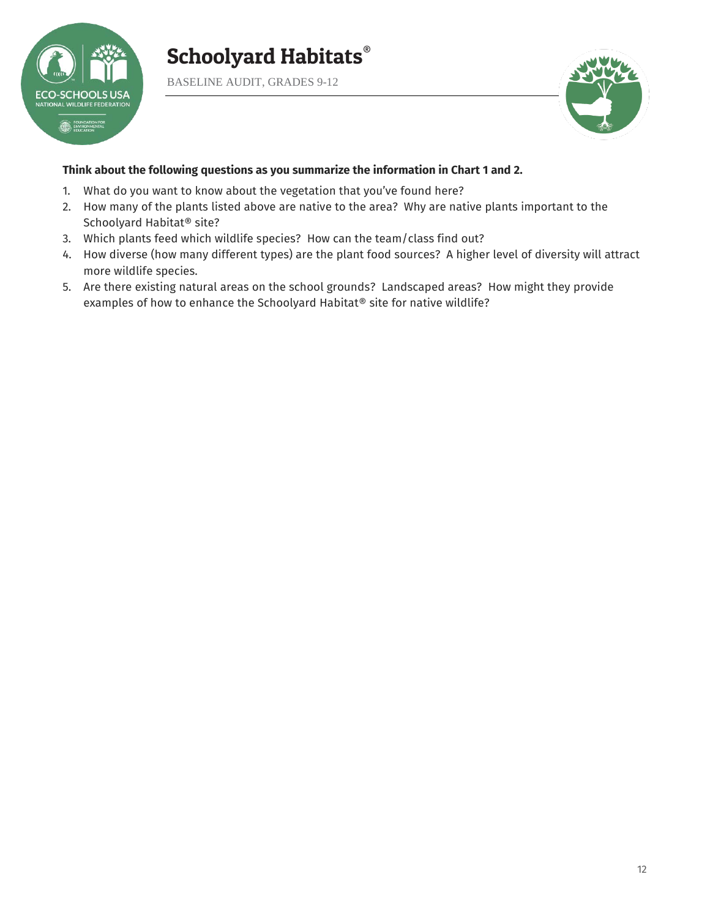

BASELINE AUDIT, GRADES 9-12



#### **Think about the following questions as you summarize the information in Chart 1 and 2.**

- 1. What do you want to know about the vegetation that you've found here?
- 2. How many of the plants listed above are native to the area? Why are native plants important to the Schoolyard Habitat® site?
- 3. Which plants feed which wildlife species? How can the team/class find out?
- 4. How diverse (how many different types) are the plant food sources? A higher level of diversity will attract more wildlife species.
- 5. Are there existing natural areas on the school grounds? Landscaped areas? How might they provide examples of how to enhance the Schoolyard Habitat® site for native wildlife?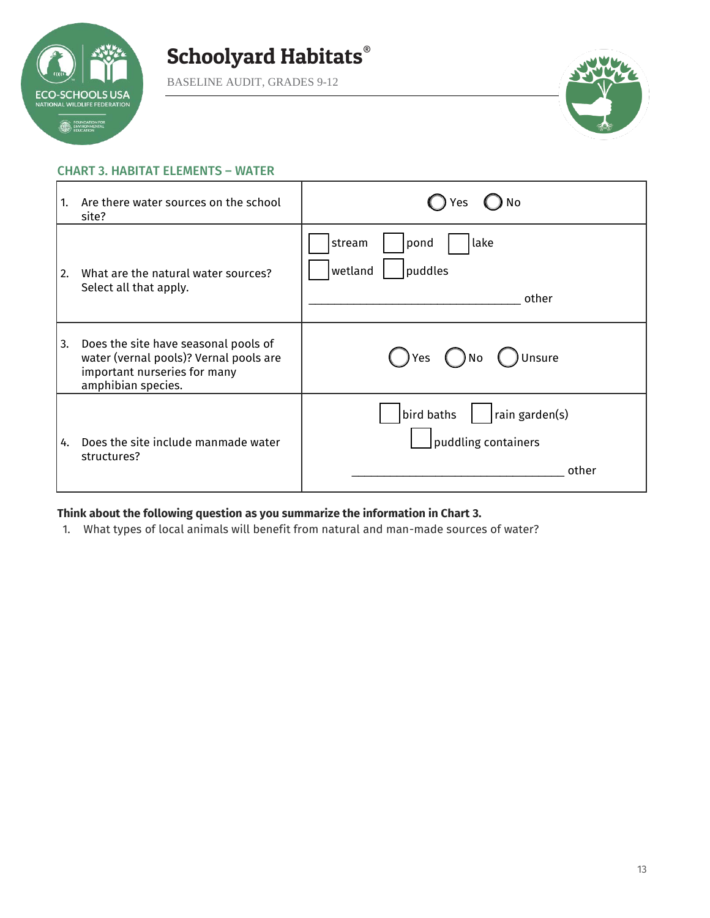

BASELINE AUDIT, GRADES 9-12



#### CHART 3. HABITAT ELEMENTS – WATER

| 1. | Are there water sources on the school<br>site?                                                                                       | No<br>Yes                                                    |
|----|--------------------------------------------------------------------------------------------------------------------------------------|--------------------------------------------------------------|
| 2. | What are the natural water sources?<br>Select all that apply.                                                                        | lake<br>stream<br>pond<br>wetland<br>puddles<br>other        |
| 3. | Does the site have seasonal pools of<br>water (vernal pools)? Vernal pools are<br>important nurseries for many<br>amphibian species. | ) Unsure<br>( )Yes<br>) No                                   |
| 4. | Does the site include manmade water<br>structures?                                                                                   | rain garden(s)<br>bird baths<br>puddling containers<br>other |

#### **Think about the following question as you summarize the information in Chart 3.**

1. What types of local animals will benefit from natural and man-made sources of water?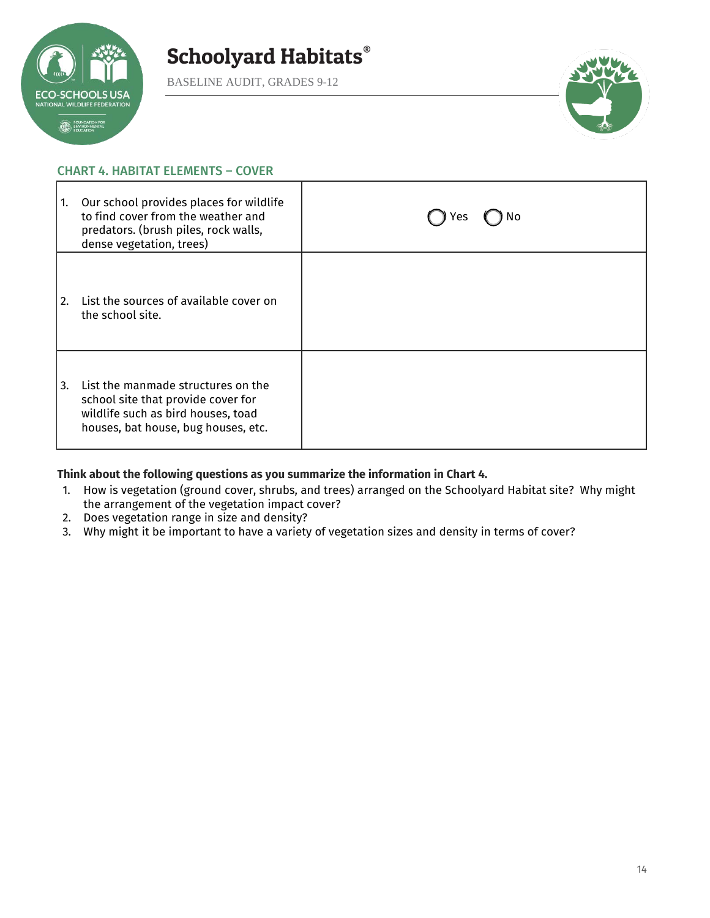

BASELINE AUDIT, GRADES 9-12



#### CHART 4. HABITAT ELEMENTS – COVER

| 1. | Our school provides places for wildlife<br>to find cover from the weather and<br>predators. (brush piles, rock walls,<br>dense vegetation, trees)     | No<br>Yes |
|----|-------------------------------------------------------------------------------------------------------------------------------------------------------|-----------|
| 2. | List the sources of available cover on<br>the school site.                                                                                            |           |
| 3. | List the manmade structures on the<br>school site that provide cover for<br>wildlife such as bird houses, toad<br>houses, bat house, bug houses, etc. |           |

#### **Think about the following questions as you summarize the information in Chart 4.**

- 1. How is vegetation (ground cover, shrubs, and trees) arranged on the Schoolyard Habitat site? Why might the arrangement of the vegetation impact cover?
- 2. Does vegetation range in size and density?
- 3. Why might it be important to have a variety of vegetation sizes and density in terms of cover?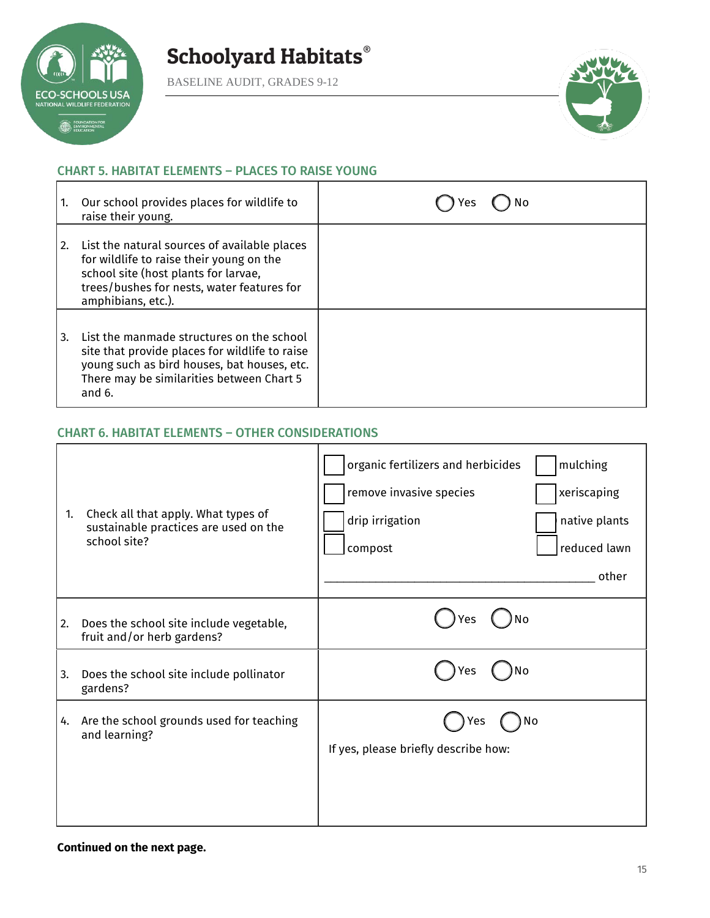

BASELINE AUDIT, GRADES 9-12



#### CHART 5. HABITAT ELEMENTS – PLACES TO RAISE YOUNG

|                  | Our school provides places for wildlife to<br>raise their young.                                                                                                                                     | res |
|------------------|------------------------------------------------------------------------------------------------------------------------------------------------------------------------------------------------------|-----|
| $\overline{2}$ . | List the natural sources of available places<br>for wildlife to raise their young on the<br>school site (host plants for larvae,<br>trees/bushes for nests, water features for<br>amphibians, etc.). |     |
| 3.               | List the manmade structures on the school<br>site that provide places for wildlife to raise<br>young such as bird houses, bat houses, etc.<br>There may be similarities between Chart 5<br>and $6.$  |     |

#### CHART 6. HABITAT ELEMENTS – OTHER CONSIDERATIONS

| 1. | Check all that apply. What types of<br>sustainable practices are used on the<br>school site? | mulching<br>organic fertilizers and herbicides<br>remove invasive species<br>xeriscaping<br>drip irrigation<br>native plants<br>reduced lawn<br>compost<br>other |
|----|----------------------------------------------------------------------------------------------|------------------------------------------------------------------------------------------------------------------------------------------------------------------|
| 2. | Does the school site include vegetable,<br>fruit and/or herb gardens?                        | No<br>Yes                                                                                                                                                        |
| 3. | Does the school site include pollinator<br>gardens?                                          | Yes<br>No                                                                                                                                                        |
| 4. | Are the school grounds used for teaching<br>and learning?                                    | No<br>Yes<br>If yes, please briefly describe how:                                                                                                                |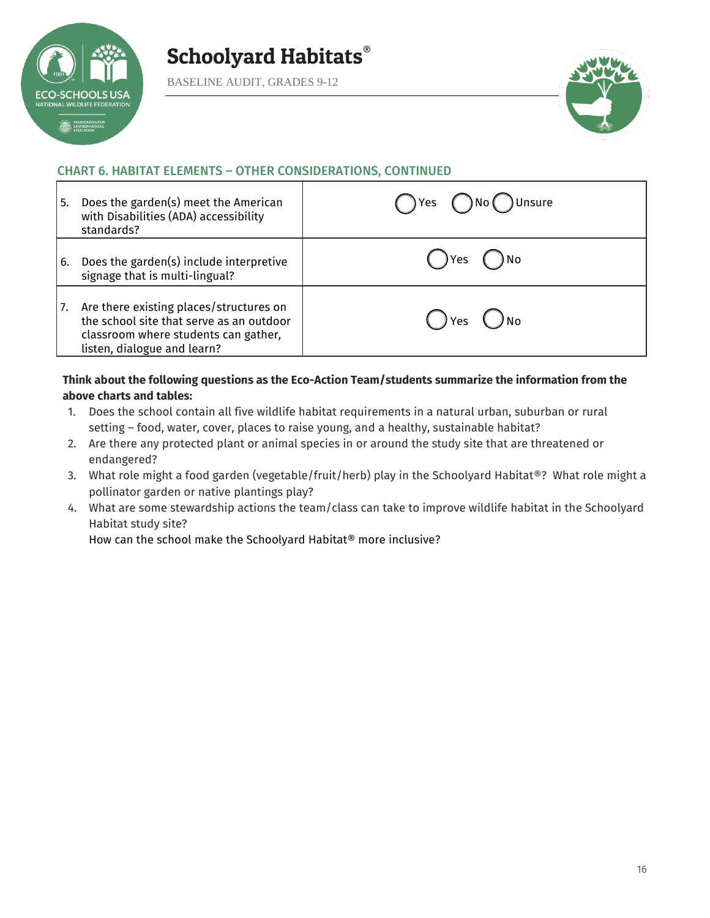

BASELINE AUDIT, GRADES 9-12



#### CHART 6. HABITAT ELEMENTS – OTHER CONSIDERATIONS, CONTINUED

| l 5. | Does the garden(s) meet the American<br>with Disabilities (ADA) accessibility<br>standards?                                                                | No( )Unsure<br>$\bigcap$ Yes $\bigcap$ |
|------|------------------------------------------------------------------------------------------------------------------------------------------------------------|----------------------------------------|
| l 6. | Does the garden(s) include interpretive<br>signage that is multi-lingual?                                                                                  | ) Yes                                  |
| 17.  | Are there existing places/structures on<br>the school site that serve as an outdoor<br>classroom where students can gather,<br>listen, dialogue and learn? | ) No<br>$\bigcap$ Yes $\bigcup$        |

#### **Think about the following questions as the Eco-Action Team/students summarize the information from the above charts and tables:**

- 1. Does the school contain all five wildlife habitat requirements in a natural urban, suburban or rural setting – food, water, cover, places to raise young, and a healthy, sustainable habitat?
- 2. Are there any protected plant or animal species in or around the study site that are threatened or endangered?
- 3. What role might a food garden (vegetable/fruit/herb) play in the Schoolyard Habitat®? What role might a pollinator garden or native plantings play?
- 4. What are some stewardship actions the team/class can take to improve wildlife habitat in the Schoolyard Habitat study site?

How can the school make the Schoolyard Habitat® more inclusive?